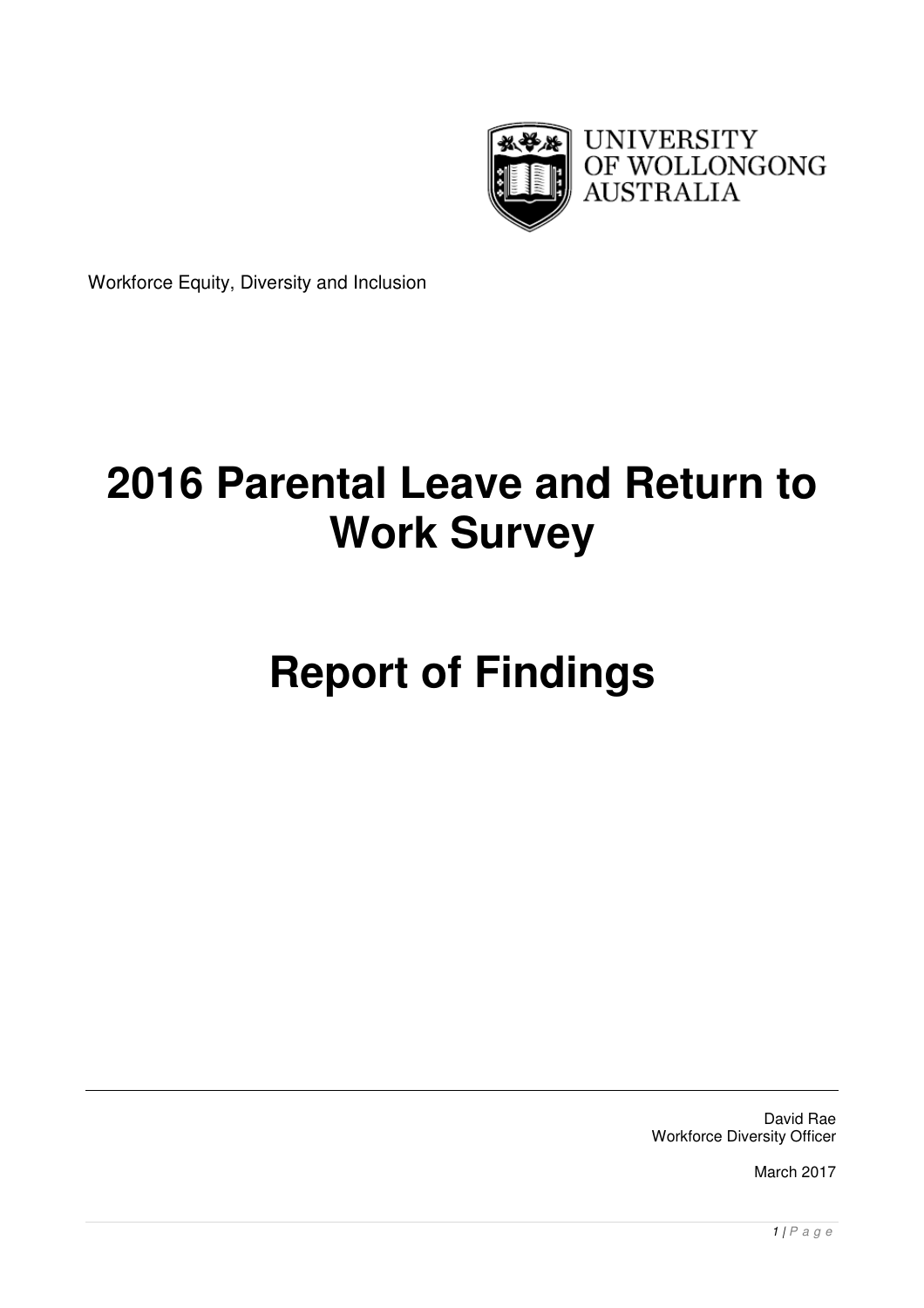

Workforce Equity, Diversity and Inclusion

# **2016 Parental Leave and Return to Work Survey**

# **Report of Findings**

David Rae Workforce Diversity Officer

March 2017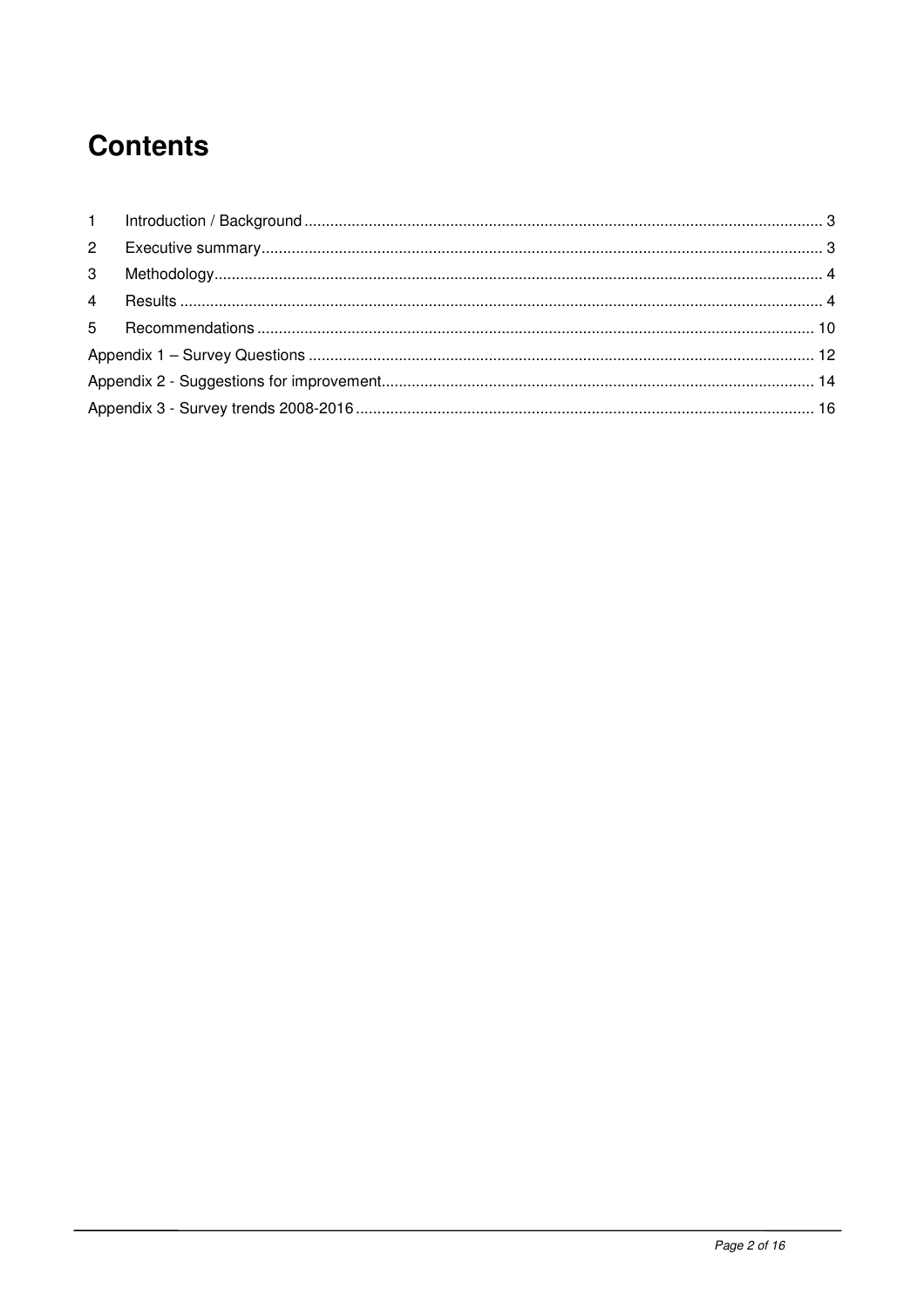# **Contents**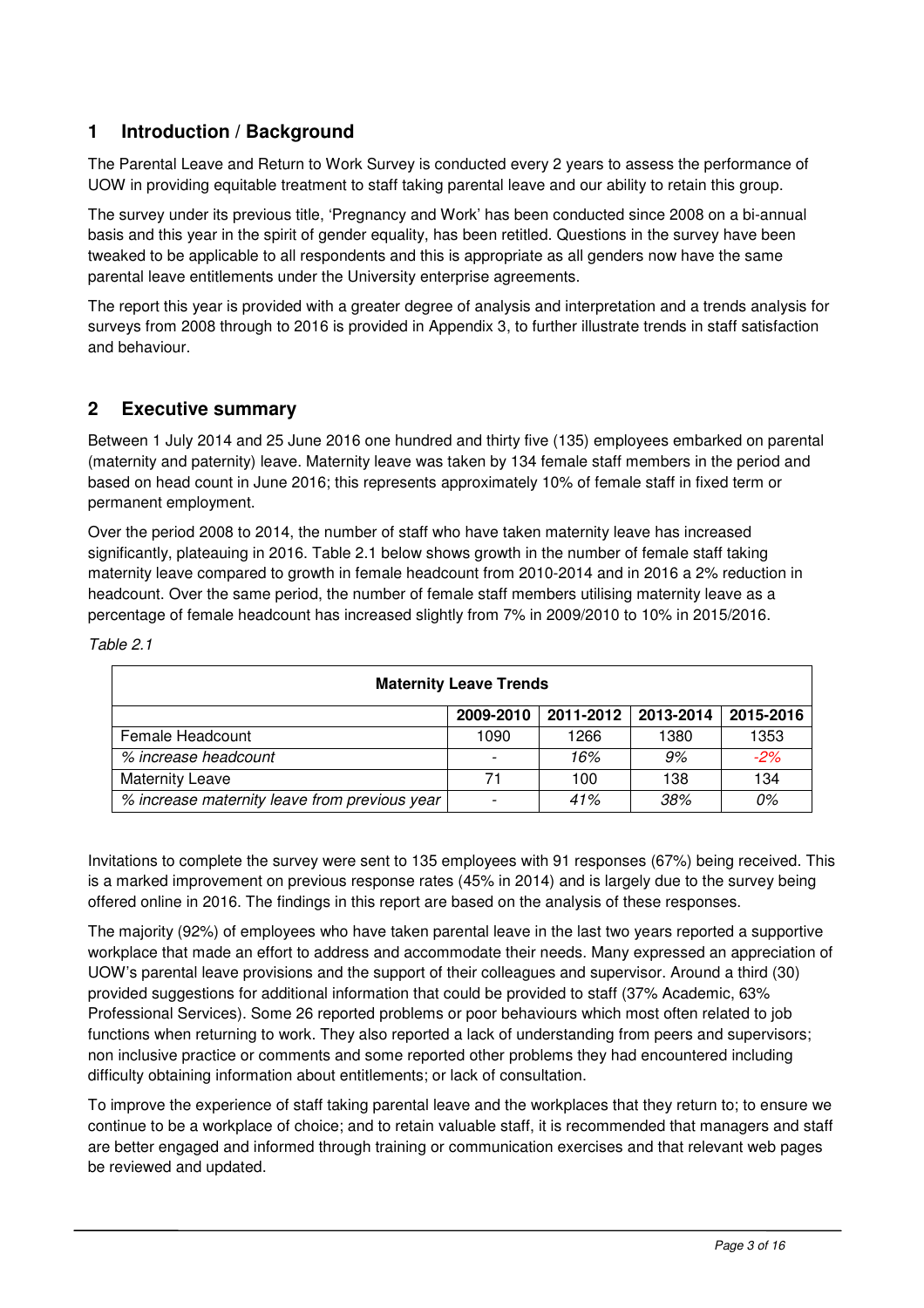# **1 Introduction / Background**

The Parental Leave and Return to Work Survey is conducted every 2 years to assess the performance of UOW in providing equitable treatment to staff taking parental leave and our ability to retain this group.

The survey under its previous title, 'Pregnancy and Work' has been conducted since 2008 on a bi-annual basis and this year in the spirit of gender equality, has been retitled. Questions in the survey have been tweaked to be applicable to all respondents and this is appropriate as all genders now have the same parental leave entitlements under the University enterprise agreements.

The report this year is provided with a greater degree of analysis and interpretation and a trends analysis for surveys from 2008 through to 2016 is provided in Appendix 3, to further illustrate trends in staff satisfaction and behaviour.

## **2 Executive summary**

Between 1 July 2014 and 25 June 2016 one hundred and thirty five (135) employees embarked on parental (maternity and paternity) leave. Maternity leave was taken by 134 female staff members in the period and based on head count in June 2016; this represents approximately 10% of female staff in fixed term or permanent employment.

Over the period 2008 to 2014, the number of staff who have taken maternity leave has increased significantly, plateauing in 2016. Table 2.1 below shows growth in the number of female staff taking maternity leave compared to growth in female headcount from 2010-2014 and in 2016 a 2% reduction in headcount. Over the same period, the number of female staff members utilising maternity leave as a percentage of female headcount has increased slightly from 7% in 2009/2010 to 10% in 2015/2016.

| <b>Maternity Leave Trends</b>                 |           |                     |      |           |  |
|-----------------------------------------------|-----------|---------------------|------|-----------|--|
|                                               | 2009-2010 | 2011-2012 2013-2014 |      | 2015-2016 |  |
| Female Headcount                              | 1090      | 1266                | 1380 | 1353      |  |
| % increase headcount                          |           | 16%                 | 9%   | $-2%$     |  |
| <b>Maternity Leave</b>                        | 71        | 100                 | 138  | 134       |  |
| % increase maternity leave from previous year |           | 41%                 | 38%  | 0%        |  |

Table 2.1

Invitations to complete the survey were sent to 135 employees with 91 responses (67%) being received. This is a marked improvement on previous response rates (45% in 2014) and is largely due to the survey being offered online in 2016. The findings in this report are based on the analysis of these responses.

The majority (92%) of employees who have taken parental leave in the last two years reported a supportive workplace that made an effort to address and accommodate their needs. Many expressed an appreciation of UOW's parental leave provisions and the support of their colleagues and supervisor. Around a third (30) provided suggestions for additional information that could be provided to staff (37% Academic, 63% Professional Services). Some 26 reported problems or poor behaviours which most often related to job functions when returning to work. They also reported a lack of understanding from peers and supervisors; non inclusive practice or comments and some reported other problems they had encountered including difficulty obtaining information about entitlements; or lack of consultation.

To improve the experience of staff taking parental leave and the workplaces that they return to; to ensure we continue to be a workplace of choice; and to retain valuable staff, it is recommended that managers and staff are better engaged and informed through training or communication exercises and that relevant web pages be reviewed and updated.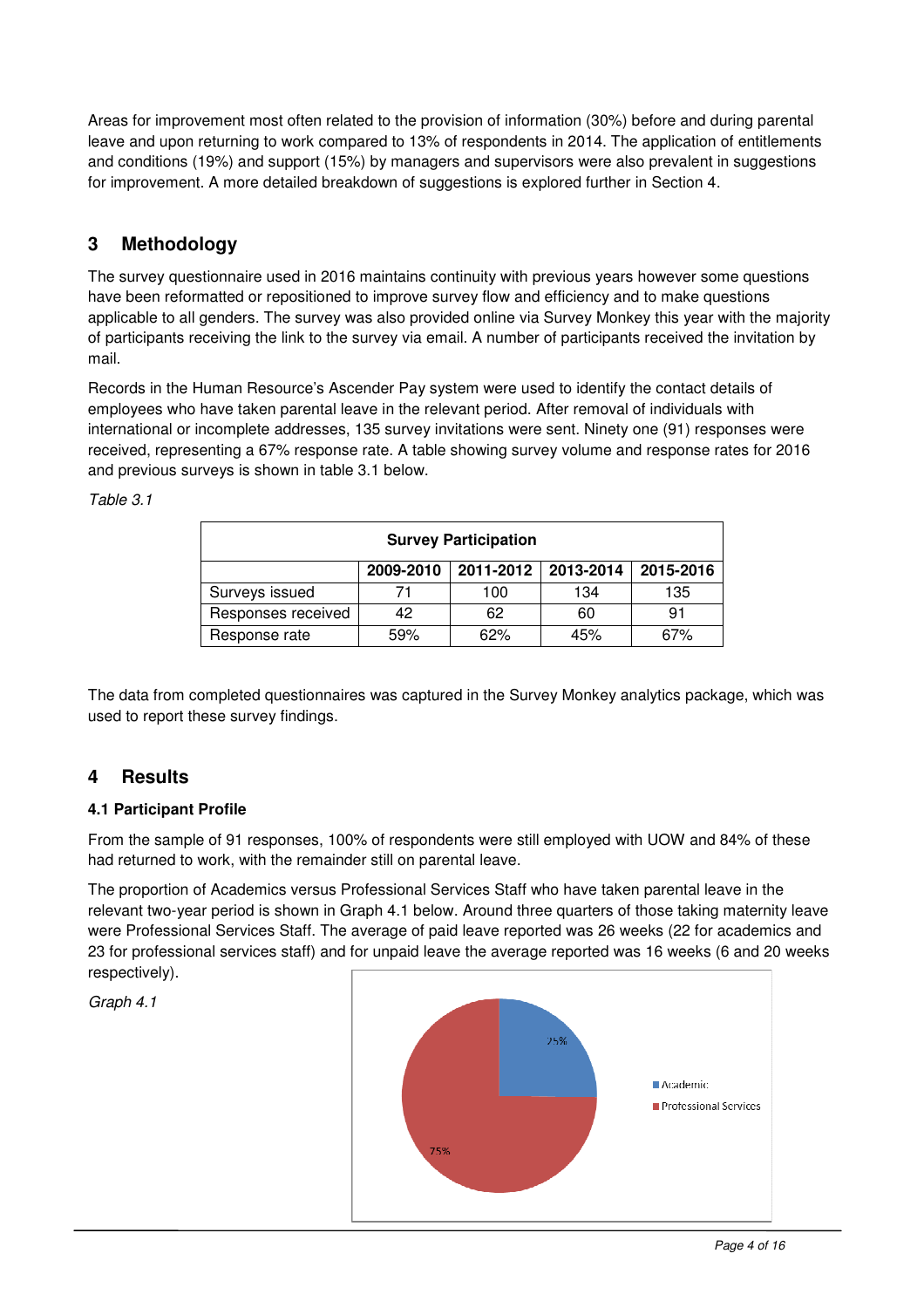Areas for improvement most often related to the provision of information (30%) before and during parental leave and upon returning to work compared to 13% of respondents in 2014. The application of entitlements and conditions (19%) and support (15%) by managers and supervisors were also prevalent in suggestions for improvement. A more detailed breakdown of suggestions is explored further in Section 4.

# **3 Methodology**

The survey questionnaire used in 2016 maintains continuity with previous years however some questions have been reformatted or repositioned to improve survey flow and efficiency and to make questions applicable to all genders. The survey was also provided online via Survey Monkey this year with the majority of participants receiving the link to the survey via email. A number of participants received the invitation by mail.

Records in the Human Resource's Ascender Pay system were used to identify the contact details of employees who have taken parental leave in the relevant period. After removal of individuals with international or incomplete addresses, 135 survey invitations were sent. Ninety one (91) responses were received, representing a 67% response rate. A table showing survey volume and response rates for 2016 and previous surveys is shown in table 3.1 below.

| <b>Survey Participation</b>                      |     |     |     |     |  |  |  |
|--------------------------------------------------|-----|-----|-----|-----|--|--|--|
| 2013-2014<br>2011-2012<br>2015-2016<br>2009-2010 |     |     |     |     |  |  |  |
| Surveys issued                                   |     | 100 | 134 | 135 |  |  |  |
| Responses received                               | 42  | 62  | 60  | 91  |  |  |  |
| Response rate                                    | 59% | 62% | 45% | 67% |  |  |  |

Table 3.1

The data from completed questionnaires was captured in the Survey Monkey analytics package, which was used to report these survey findings.

# **4 Results**

#### **4.1 Participant Profile**

From the sample of 91 responses, 100% of respondents were still employed with UOW and 84% of these had returned to work, with the remainder still on parental leave.

The proportion of Academics versus Professional Services Staff who have taken parental leave in the relevant two-year period is shown in Graph 4.1 below. Around three quarters of those taking maternity leave were Professional Services Staff. The average of paid leave reported was 26 weeks (22 for academics and 23 for professional services staff) and for unpaid leave the average reported was 16 weeks (6 and 20 weeks respectively).

Graph 4.1

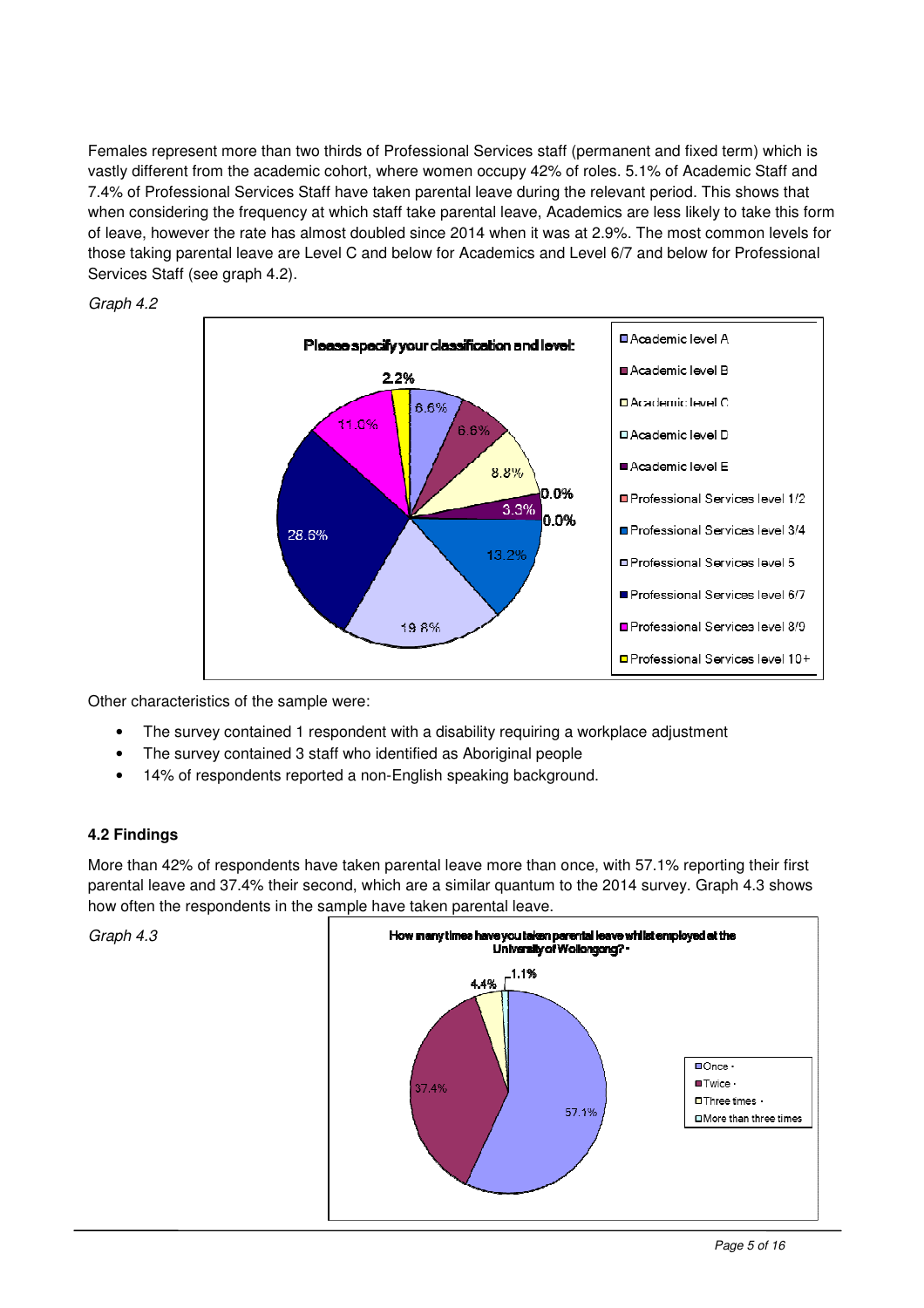Females represent more than two thirds of Professional Services staff (permanent and fixed term) which is vastly different from the academic cohort, where women occupy 42% of roles. 5.1% of Academic Staff and 7.4% of Professional Services Staff have taken parental leave during the relevant period. This shows that when considering the frequency at which staff take parental leave, Academics are less likely to take this form of leave, however the rate has almost doubled since 2014 when it was at 2.9%. The most common levels for those taking parental leave are Level C and below for Academics and Level 6/7 and below for Professional Services Staff (see graph 4.2).



Graph 4.2

Other characteristics of the sample were:

- The survey contained 1 respondent with a disability requiring a workplace adjustment
- The survey contained 3 staff who identified as Aboriginal people
- 14% of respondents reported a non-English speaking background.

#### **4.2 Findings**

More than 42% of respondents have taken parental leave more than once, with 57.1% reporting their first parental leave and 37.4% their second, which are a similar quantum to the 2014 survey. Graph 4.3 shows how often the respondents in the sample have taken parental leave.

Graph 4.3

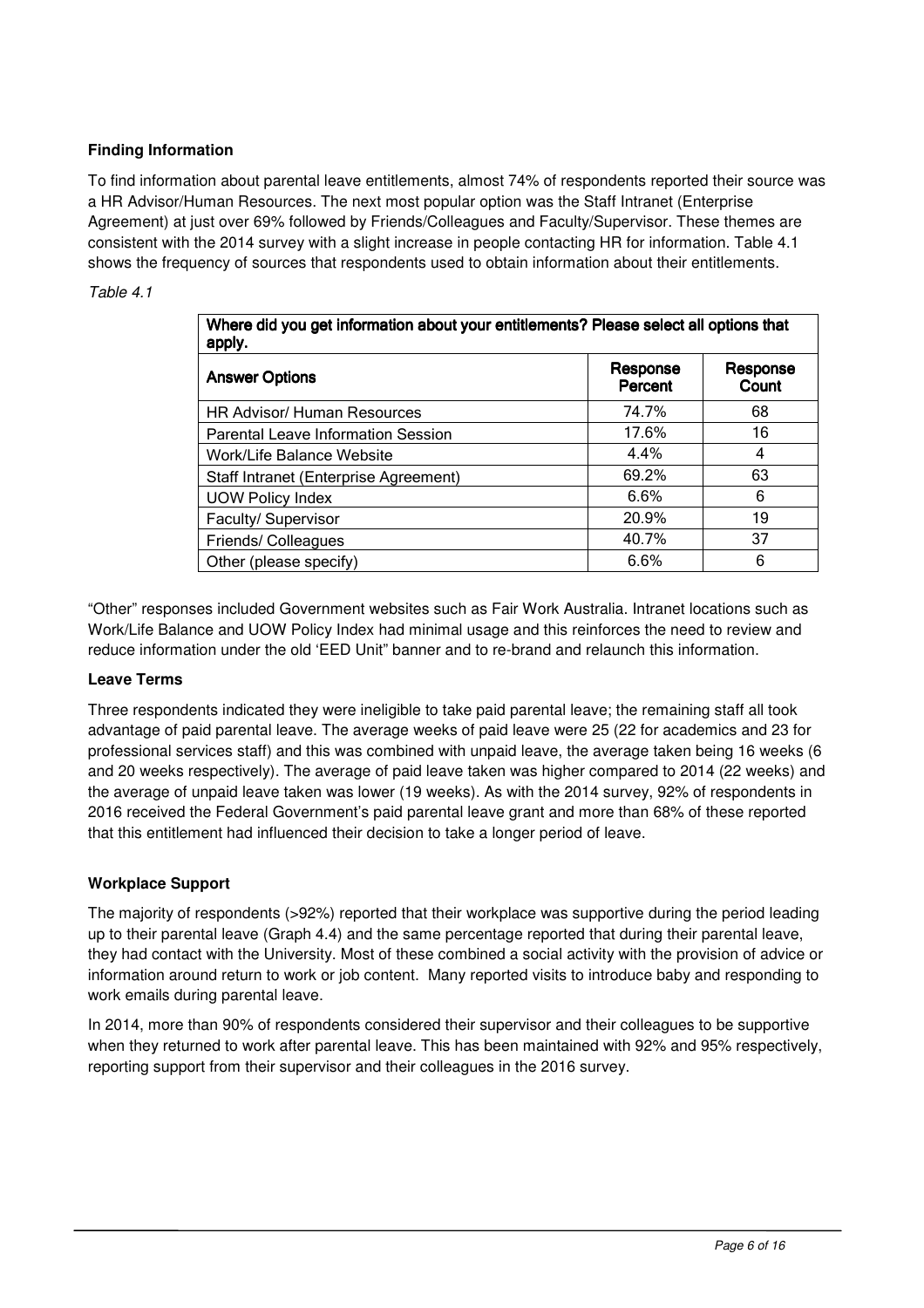#### **Finding Information**

To find information about parental leave entitlements, almost 74% of respondents reported their source was a HR Advisor/Human Resources. The next most popular option was the Staff Intranet (Enterprise Agreement) at just over 69% followed by Friends/Colleagues and Faculty/Supervisor. These themes are consistent with the 2014 survey with a slight increase in people contacting HR for information. Table 4.1 shows the frequency of sources that respondents used to obtain information about their entitlements.

#### Table 4.1

| Where did you get information about your entitlements? Please select all options that<br>apply. |                     |                   |  |  |
|-------------------------------------------------------------------------------------------------|---------------------|-------------------|--|--|
| <b>Answer Options</b>                                                                           | Response<br>Percent | Response<br>Count |  |  |
| <b>HR Advisor/ Human Resources</b>                                                              | 74.7%               | 68                |  |  |
| <b>Parental Leave Information Session</b>                                                       | 17.6%               | 16                |  |  |
| Work/Life Balance Website                                                                       | 4.4%                | 4                 |  |  |
| Staff Intranet (Enterprise Agreement)                                                           | 69.2%               | 63                |  |  |
| <b>UOW Policy Index</b>                                                                         | 6.6%                | 6                 |  |  |
| Faculty/ Supervisor                                                                             | 20.9%               | 19                |  |  |
| Friends/ Colleagues                                                                             | 40.7%               | 37                |  |  |
| Other (please specify)                                                                          | 6.6%                | 6                 |  |  |

"Other" responses included Government websites such as Fair Work Australia. Intranet locations such as Work/Life Balance and UOW Policy Index had minimal usage and this reinforces the need to review and reduce information under the old 'EED Unit" banner and to re-brand and relaunch this information.

#### **Leave Terms**

Three respondents indicated they were ineligible to take paid parental leave; the remaining staff all took advantage of paid parental leave. The average weeks of paid leave were 25 (22 for academics and 23 for professional services staff) and this was combined with unpaid leave, the average taken being 16 weeks (6 and 20 weeks respectively). The average of paid leave taken was higher compared to 2014 (22 weeks) and the average of unpaid leave taken was lower (19 weeks). As with the 2014 survey, 92% of respondents in 2016 received the Federal Government's paid parental leave grant and more than 68% of these reported that this entitlement had influenced their decision to take a longer period of leave.

#### **Workplace Support**

The majority of respondents (>92%) reported that their workplace was supportive during the period leading up to their parental leave (Graph 4.4) and the same percentage reported that during their parental leave, they had contact with the University. Most of these combined a social activity with the provision of advice or information around return to work or job content. Many reported visits to introduce baby and responding to work emails during parental leave.

In 2014, more than 90% of respondents considered their supervisor and their colleagues to be supportive when they returned to work after parental leave. This has been maintained with 92% and 95% respectively, reporting support from their supervisor and their colleagues in the 2016 survey.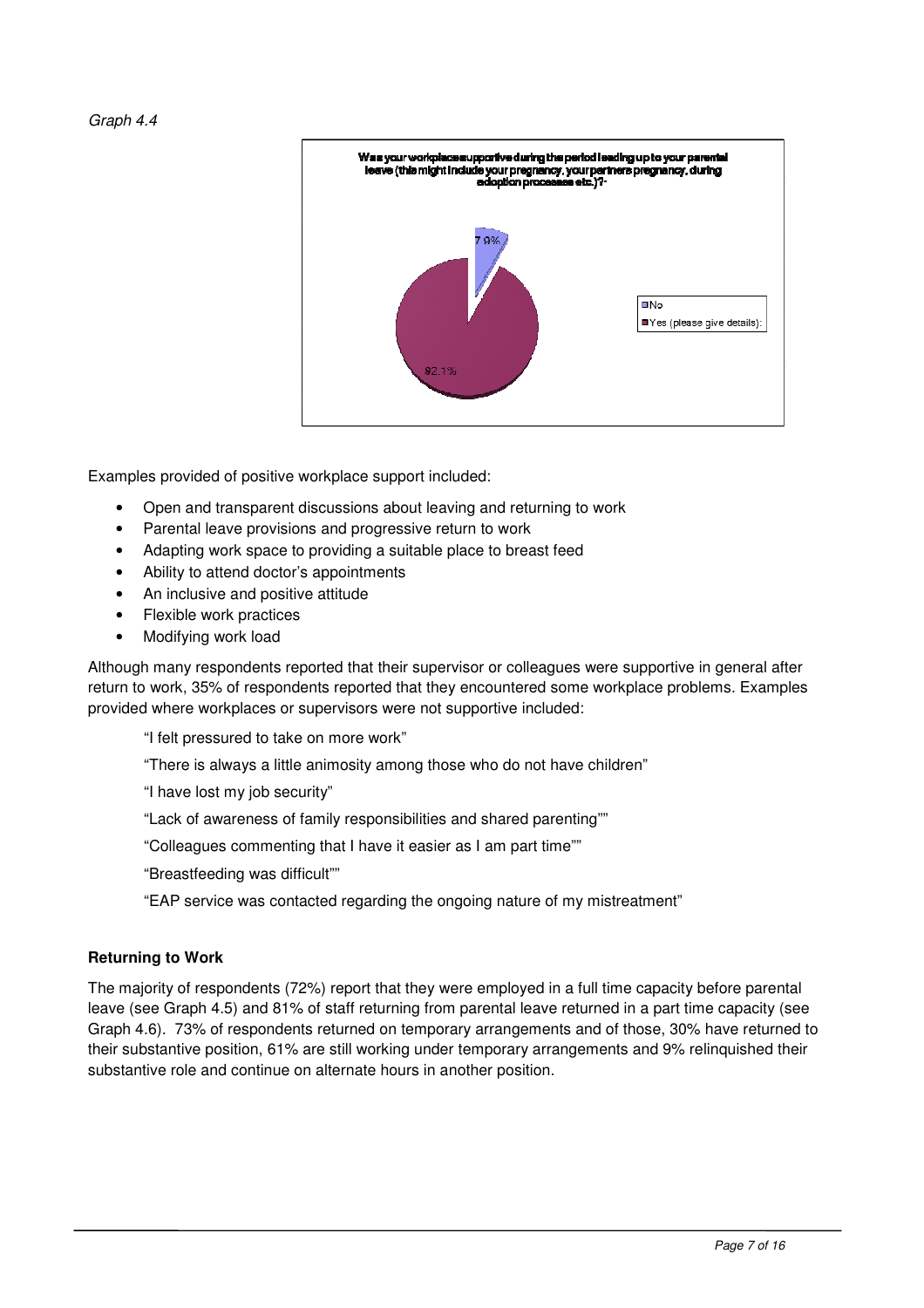

Examples provided of positive workplace support included:

- Open and transparent discussions about leaving and returning to work
- Parental leave provisions and progressive return to work
- Adapting work space to providing a suitable place to breast feed
- Ability to attend doctor's appointments
- An inclusive and positive attitude
- Flexible work practices
- Modifying work load

Although many respondents reported that their supervisor or colleagues were supportive in general after return to work, 35% of respondents reported that they encountered some workplace problems. Examples provided where workplaces or supervisors were not supportive included:

"I felt pressured to take on more work"

"There is always a little animosity among those who do not have children"

"I have lost my job security"

"Lack of awareness of family responsibilities and shared parenting""

"Colleagues commenting that I have it easier as I am part time""

"Breastfeeding was difficult""

"EAP service was contacted regarding the ongoing nature of my mistreatment"

#### **Returning to Work**

The majority of respondents (72%) report that they were employed in a full time capacity before parental leave (see Graph 4.5) and 81% of staff returning from parental leave returned in a part time capacity (see Graph 4.6). 73% of respondents returned on temporary arrangements and of those, 30% have returned to their substantive position, 61% are still working under temporary arrangements and 9% relinquished their substantive role and continue on alternate hours in another position.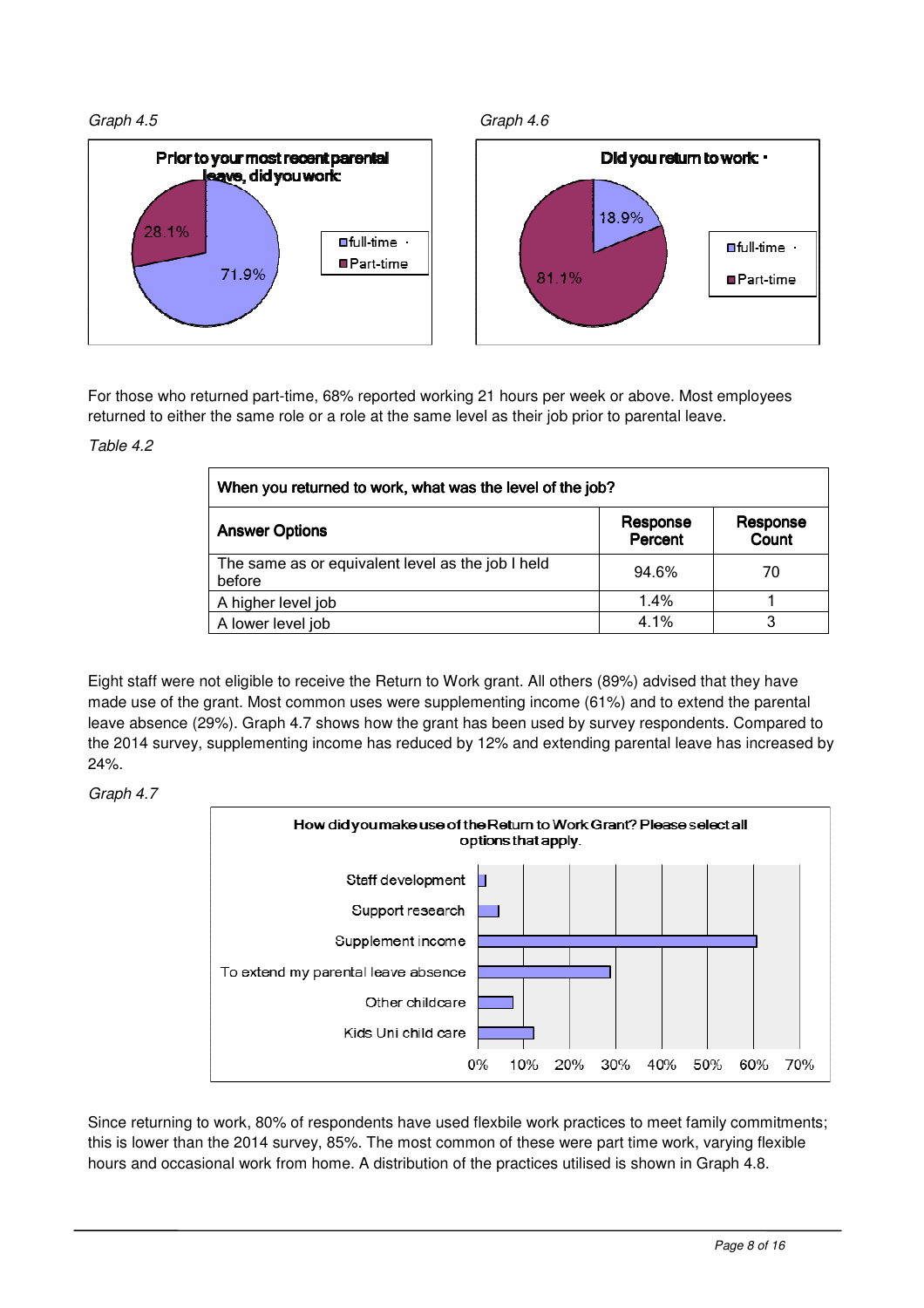







For those who returned part-time, 68% reported working 21 hours per week or above. Most employees returned to either the same role or a role at the same level as their job prior to parental leave.

#### Table 4.2

| When you returned to work, what was the level of the job?   |                     |                   |  |  |
|-------------------------------------------------------------|---------------------|-------------------|--|--|
| <b>Answer Options</b>                                       | Response<br>Percent | Response<br>Count |  |  |
| The same as or equivalent level as the job I held<br>before | 94.6%               | 70                |  |  |
| A higher level job                                          | 1.4%                |                   |  |  |
| A lower level job                                           | 4.1%                | 3                 |  |  |

Eight staff were not eligible to receive the Return to Work grant. All others (89%) advised that they have made use of the grant. Most common uses were supplementing income (61%) and to extend the parental leave absence (29%). Graph 4.7 shows how the grant has been used by survey respondents. Compared to the 2014 survey, supplementing income has reduced by 12% and extending parental leave has increased by 24%.

#### Graph 4.7



Since returning to work, 80% of respondents have used flexbile work practices to meet family commitments; this is lower than the 2014 survey, 85%. The most common of these were part time work, varying flexible hours and occasional work from home. A distribution of the practices utilised is shown in Graph 4.8.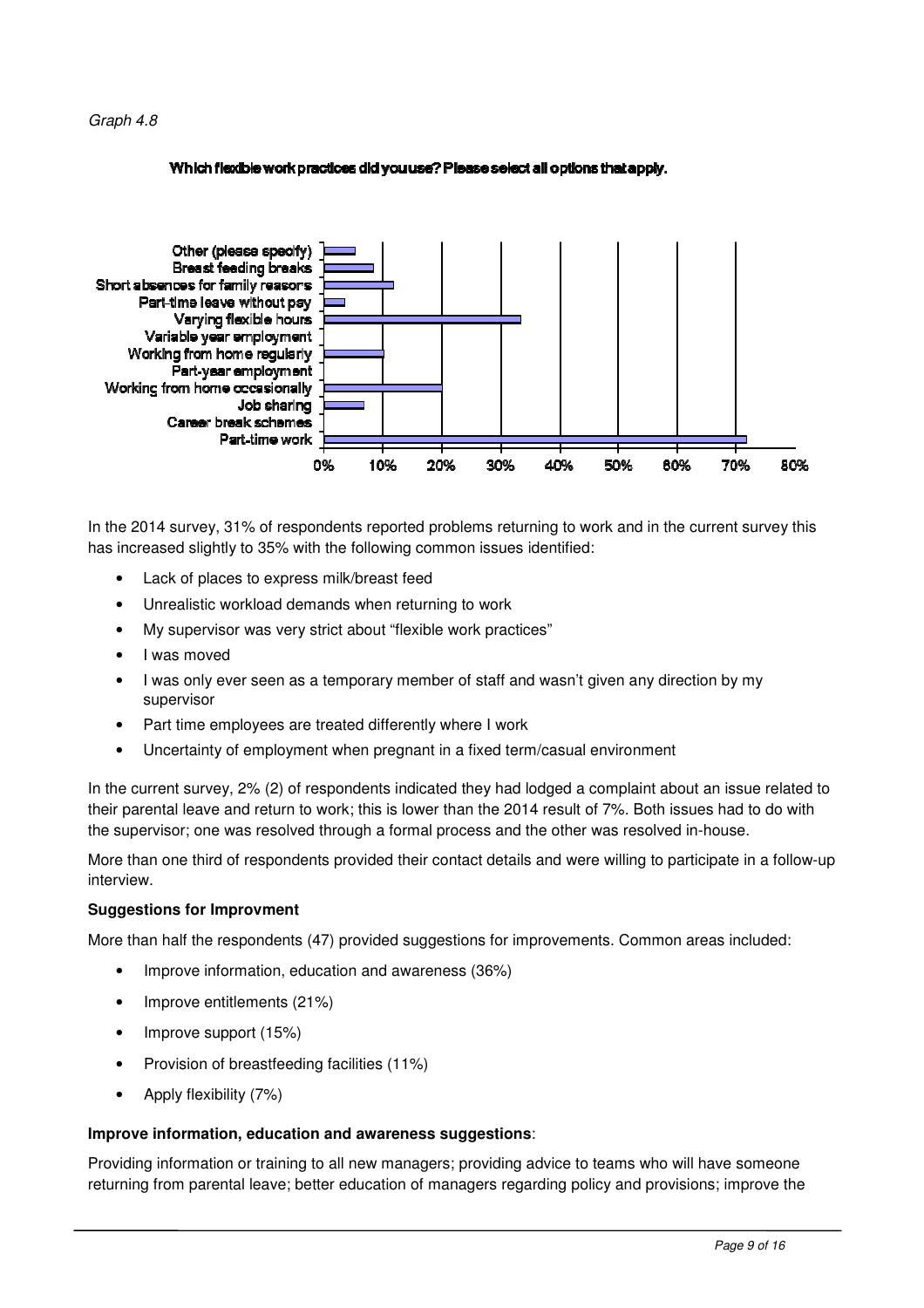#### Which flexible work practices did you use? Please select all options that apply.



In the 2014 survey, 31% of respondents reported problems returning to work and in the current survey this has increased slightly to 35% with the following common issues identified:

- Lack of places to express milk/breast feed
- Unrealistic workload demands when returning to work
- My supervisor was very strict about "flexible work practices"
- I was moved
- I was only ever seen as a temporary member of staff and wasn't given any direction by my supervisor
- Part time employees are treated differently where I work
- Uncertainty of employment when pregnant in a fixed term/casual environment

In the current survey, 2% (2) of respondents indicated they had lodged a complaint about an issue related to their parental leave and return to work; this is lower than the 2014 result of 7%. Both issues had to do with the supervisor; one was resolved through a formal process and the other was resolved in-house.

More than one third of respondents provided their contact details and were willing to participate in a follow-up interview.

#### **Suggestions for Improvment**

More than half the respondents (47) provided suggestions for improvements. Common areas included:

- Improve information, education and awareness (36%)
- Improve entitlements (21%)
- Improve support (15%)
- Provision of breastfeeding facilities (11%)
- Apply flexibility (7%)

#### **Improve information, education and awareness suggestions**:

Providing information or training to all new managers; providing advice to teams who will have someone returning from parental leave; better education of managers regarding policy and provisions; improve the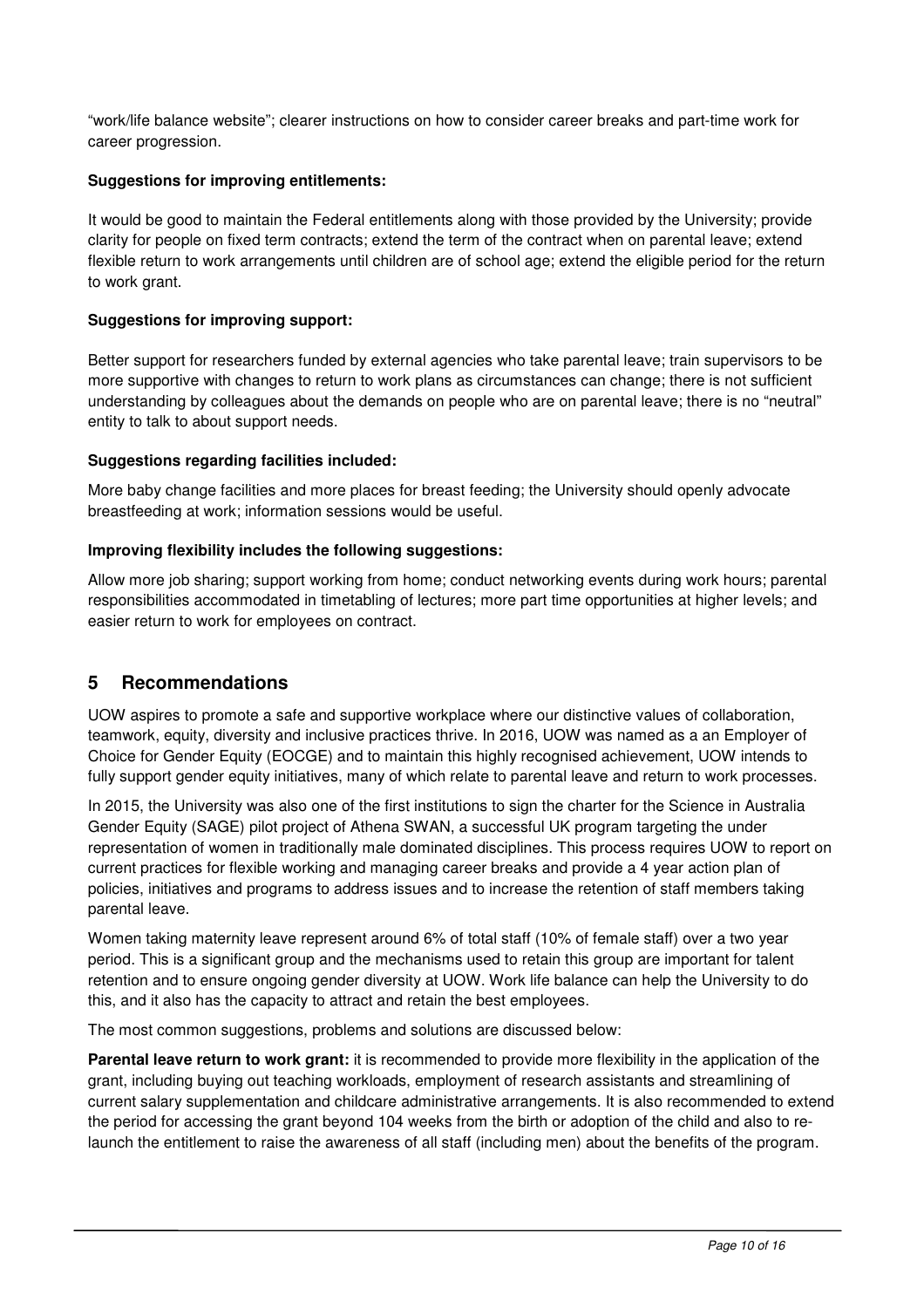"work/life balance website"; clearer instructions on how to consider career breaks and part-time work for career progression.

#### **Suggestions for improving entitlements:**

It would be good to maintain the Federal entitlements along with those provided by the University; provide clarity for people on fixed term contracts; extend the term of the contract when on parental leave; extend flexible return to work arrangements until children are of school age; extend the eligible period for the return to work grant.

#### **Suggestions for improving support:**

Better support for researchers funded by external agencies who take parental leave; train supervisors to be more supportive with changes to return to work plans as circumstances can change; there is not sufficient understanding by colleagues about the demands on people who are on parental leave; there is no "neutral" entity to talk to about support needs.

#### **Suggestions regarding facilities included:**

More baby change facilities and more places for breast feeding; the University should openly advocate breastfeeding at work; information sessions would be useful.

#### **Improving flexibility includes the following suggestions:**

Allow more job sharing; support working from home; conduct networking events during work hours; parental responsibilities accommodated in timetabling of lectures; more part time opportunities at higher levels; and easier return to work for employees on contract.

### **5 Recommendations**

UOW aspires to promote a safe and supportive workplace where our distinctive values of collaboration, teamwork, equity, diversity and inclusive practices thrive. In 2016, UOW was named as a an Employer of Choice for Gender Equity (EOCGE) and to maintain this highly recognised achievement, UOW intends to fully support gender equity initiatives, many of which relate to parental leave and return to work processes.

In 2015, the University was also one of the first institutions to sign the charter for the Science in Australia Gender Equity (SAGE) pilot project of Athena SWAN, a successful UK program targeting the under representation of women in traditionally male dominated disciplines. This process requires UOW to report on current practices for flexible working and managing career breaks and provide a 4 year action plan of policies, initiatives and programs to address issues and to increase the retention of staff members taking parental leave.

Women taking maternity leave represent around 6% of total staff (10% of female staff) over a two year period. This is a significant group and the mechanisms used to retain this group are important for talent retention and to ensure ongoing gender diversity at UOW. Work life balance can help the University to do this, and it also has the capacity to attract and retain the best employees.

The most common suggestions, problems and solutions are discussed below:

**Parental leave return to work grant:** it is recommended to provide more flexibility in the application of the grant, including buying out teaching workloads, employment of research assistants and streamlining of current salary supplementation and childcare administrative arrangements. It is also recommended to extend the period for accessing the grant beyond 104 weeks from the birth or adoption of the child and also to relaunch the entitlement to raise the awareness of all staff (including men) about the benefits of the program.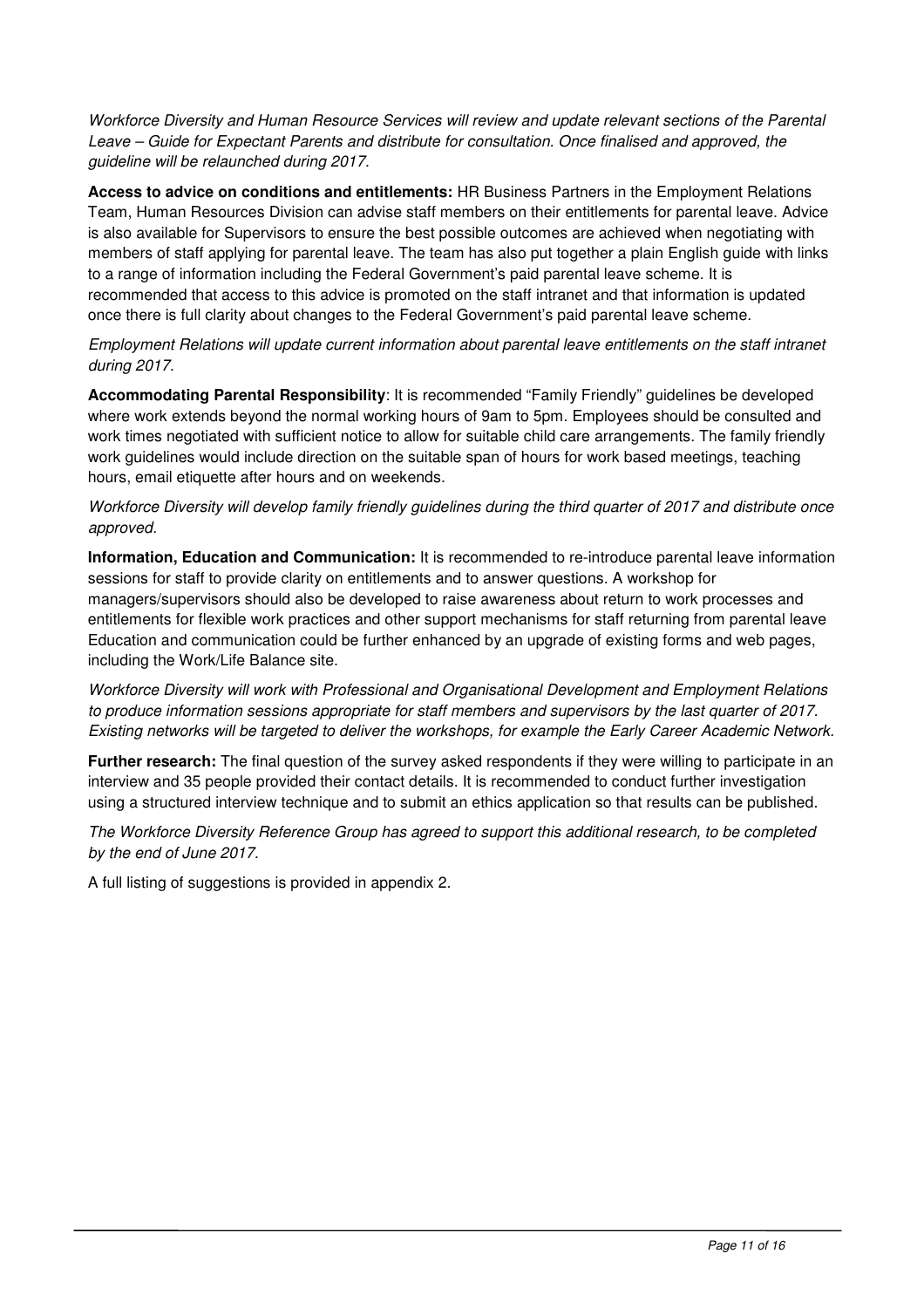Workforce Diversity and Human Resource Services will review and update relevant sections of the Parental Leave – Guide for Expectant Parents and distribute for consultation. Once finalised and approved, the guideline will be relaunched during 2017.

**Access to advice on conditions and entitlements:** HR Business Partners in the Employment Relations Team, Human Resources Division can advise staff members on their entitlements for parental leave. Advice is also available for Supervisors to ensure the best possible outcomes are achieved when negotiating with members of staff applying for parental leave. The team has also put together a plain English guide with links to a range of information including the Federal Government's paid parental leave scheme. It is recommended that access to this advice is promoted on the staff intranet and that information is updated once there is full clarity about changes to the Federal Government's paid parental leave scheme.

Employment Relations will update current information about parental leave entitlements on the staff intranet during 2017.

**Accommodating Parental Responsibility**: It is recommended "Family Friendly" guidelines be developed where work extends beyond the normal working hours of 9am to 5pm. Employees should be consulted and work times negotiated with sufficient notice to allow for suitable child care arrangements. The family friendly work guidelines would include direction on the suitable span of hours for work based meetings, teaching hours, email etiquette after hours and on weekends.

Workforce Diversity will develop family friendly guidelines during the third quarter of 2017 and distribute once approved.

**Information, Education and Communication:** It is recommended to re-introduce parental leave information sessions for staff to provide clarity on entitlements and to answer questions. A workshop for managers/supervisors should also be developed to raise awareness about return to work processes and entitlements for flexible work practices and other support mechanisms for staff returning from parental leave Education and communication could be further enhanced by an upgrade of existing forms and web pages, including the Work/Life Balance site.

Workforce Diversity will work with Professional and Organisational Development and Employment Relations to produce information sessions appropriate for staff members and supervisors by the last quarter of 2017. Existing networks will be targeted to deliver the workshops, for example the Early Career Academic Network.

**Further research:** The final question of the survey asked respondents if they were willing to participate in an interview and 35 people provided their contact details. It is recommended to conduct further investigation using a structured interview technique and to submit an ethics application so that results can be published.

The Workforce Diversity Reference Group has agreed to support this additional research, to be completed by the end of June 2017.

A full listing of suggestions is provided in appendix 2.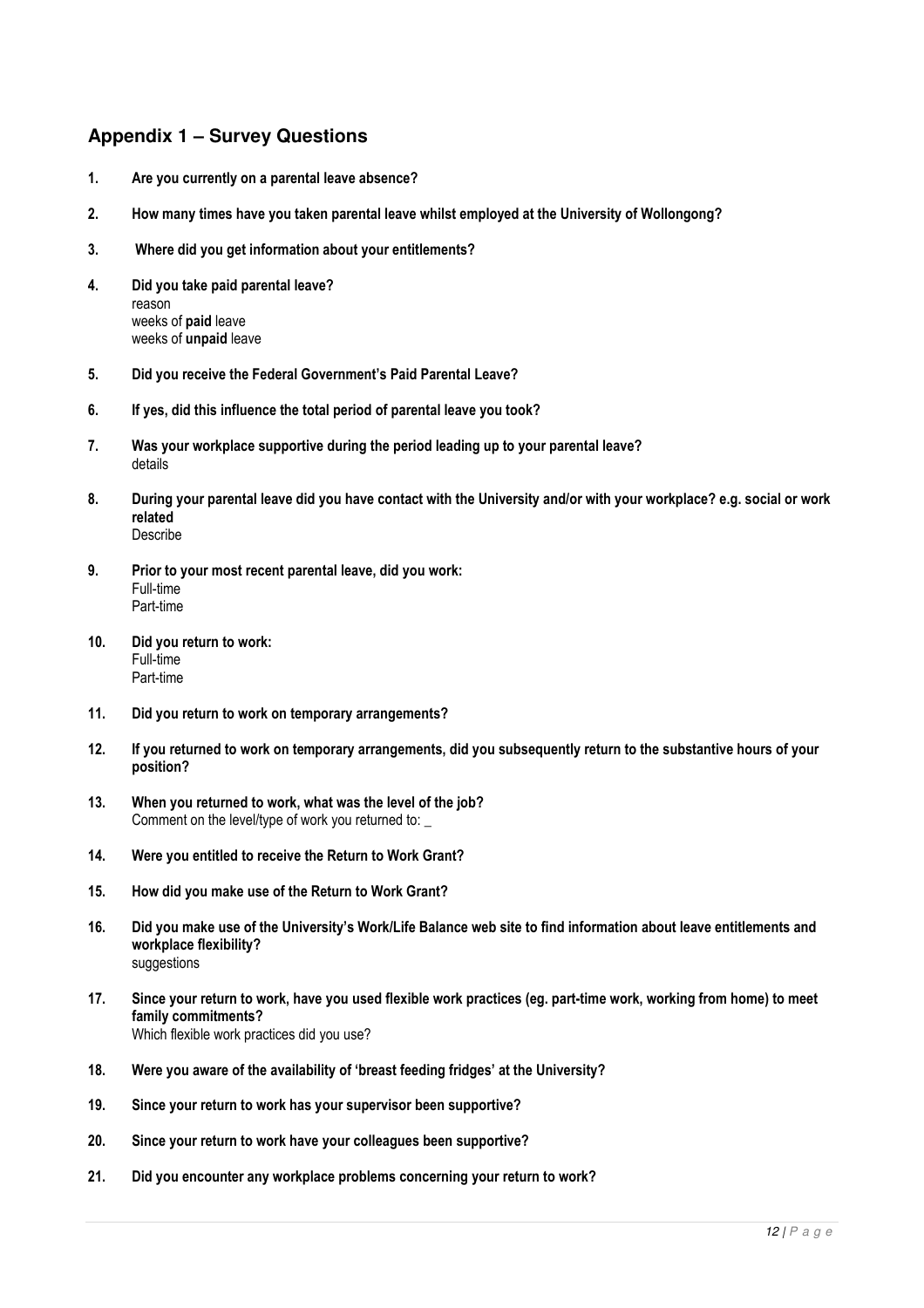## **Appendix 1 – Survey Questions**

- 1. Are you currently on a parental leave absence?
- 2. How many times have you taken parental leave whilst employed at the University of Wollongong?
- 3. Where did you get information about your entitlements?
- 4. Did you take paid parental leave? reason weeks of paid leave weeks of unpaid leave
- 5. Did you receive the Federal Government's Paid Parental Leave?
- 6. If yes, did this influence the total period of parental leave you took?
- 7. Was your workplace supportive during the period leading up to your parental leave? details
- 8. During your parental leave did you have contact with the University and/or with your workplace? e.g. social or work related Describe
- 9. Prior to your most recent parental leave, did you work: Full-time Part-time
- 10. Did you return to work: Full-time Part-time
- 11. Did you return to work on temporary arrangements?
- 12. If you returned to work on temporary arrangements, did you subsequently return to the substantive hours of your position?
- 13. When you returned to work, what was the level of the job? Comment on the level/type of work you returned to:
- 14. Were you entitled to receive the Return to Work Grant?
- 15. How did you make use of the Return to Work Grant?
- 16. Did you make use of the University's Work/Life Balance web site to find information about leave entitlements and workplace flexibility? suggestions
- 17. Since your return to work, have you used flexible work practices (eg. part-time work, working from home) to meet family commitments? Which flexible work practices did you use?
- 18. Were you aware of the availability of 'breast feeding fridges' at the University?
- 19. Since your return to work has your supervisor been supportive?
- 20. Since your return to work have your colleagues been supportive?
- 21. Did you encounter any workplace problems concerning your return to work?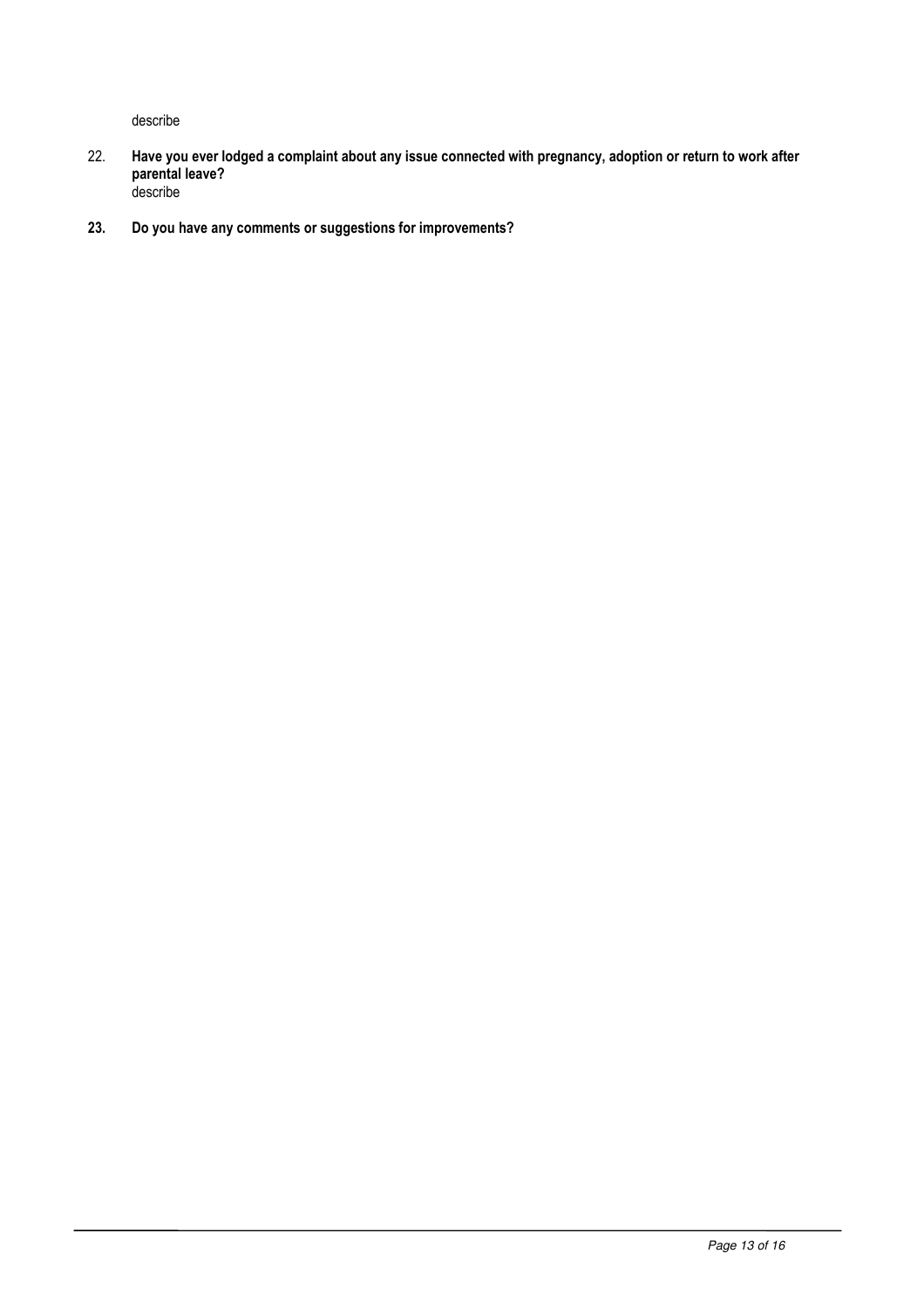describe

- 22. Have you ever lodged a complaint about any issue connected with pregnancy, adoption or return to work after parental leave? describe
- 23. Do you have any comments or suggestions for improvements?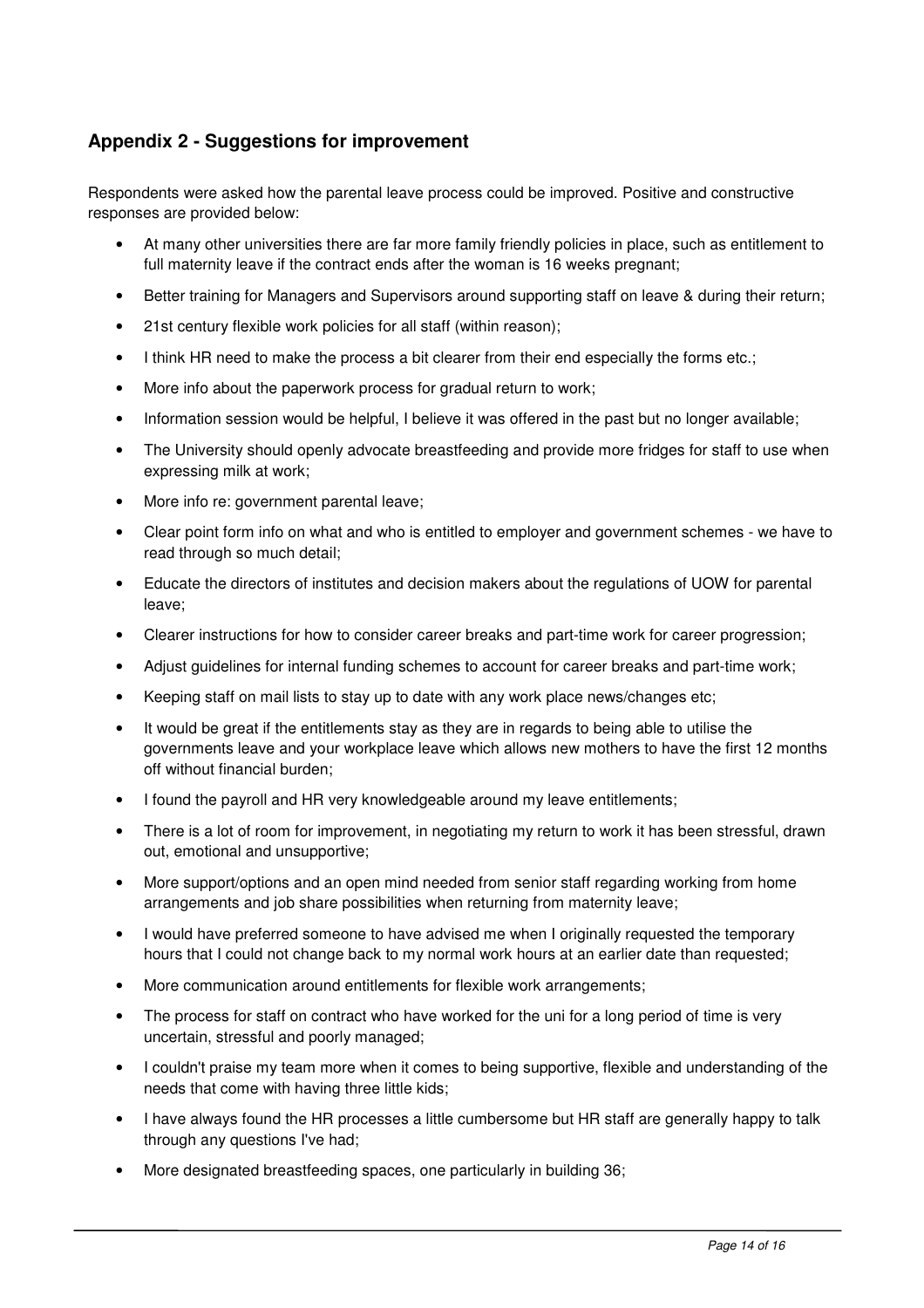# **Appendix 2 - Suggestions for improvement**

Respondents were asked how the parental leave process could be improved. Positive and constructive responses are provided below:

- At many other universities there are far more family friendly policies in place, such as entitlement to full maternity leave if the contract ends after the woman is 16 weeks pregnant;
- Better training for Managers and Supervisors around supporting staff on leave & during their return;
- 21st century flexible work policies for all staff (within reason);
- I think HR need to make the process a bit clearer from their end especially the forms etc.;
- More info about the paperwork process for gradual return to work;
- Information session would be helpful, I believe it was offered in the past but no longer available;
- The University should openly advocate breastfeeding and provide more fridges for staff to use when expressing milk at work;
- More info re: government parental leave;
- Clear point form info on what and who is entitled to employer and government schemes we have to read through so much detail;
- Educate the directors of institutes and decision makers about the regulations of UOW for parental leave;
- Clearer instructions for how to consider career breaks and part-time work for career progression;
- Adjust guidelines for internal funding schemes to account for career breaks and part-time work;
- Keeping staff on mail lists to stay up to date with any work place news/changes etc;
- It would be great if the entitlements stay as they are in regards to being able to utilise the governments leave and your workplace leave which allows new mothers to have the first 12 months off without financial burden;
- I found the payroll and HR very knowledgeable around my leave entitlements;
- There is a lot of room for improvement, in negotiating my return to work it has been stressful, drawn out, emotional and unsupportive;
- More support/options and an open mind needed from senior staff regarding working from home arrangements and job share possibilities when returning from maternity leave;
- I would have preferred someone to have advised me when I originally requested the temporary hours that I could not change back to my normal work hours at an earlier date than requested;
- More communication around entitlements for flexible work arrangements;
- The process for staff on contract who have worked for the uni for a long period of time is very uncertain, stressful and poorly managed;
- I couldn't praise my team more when it comes to being supportive, flexible and understanding of the needs that come with having three little kids;
- I have always found the HR processes a little cumbersome but HR staff are generally happy to talk through any questions I've had;
- More designated breastfeeding spaces, one particularly in building 36;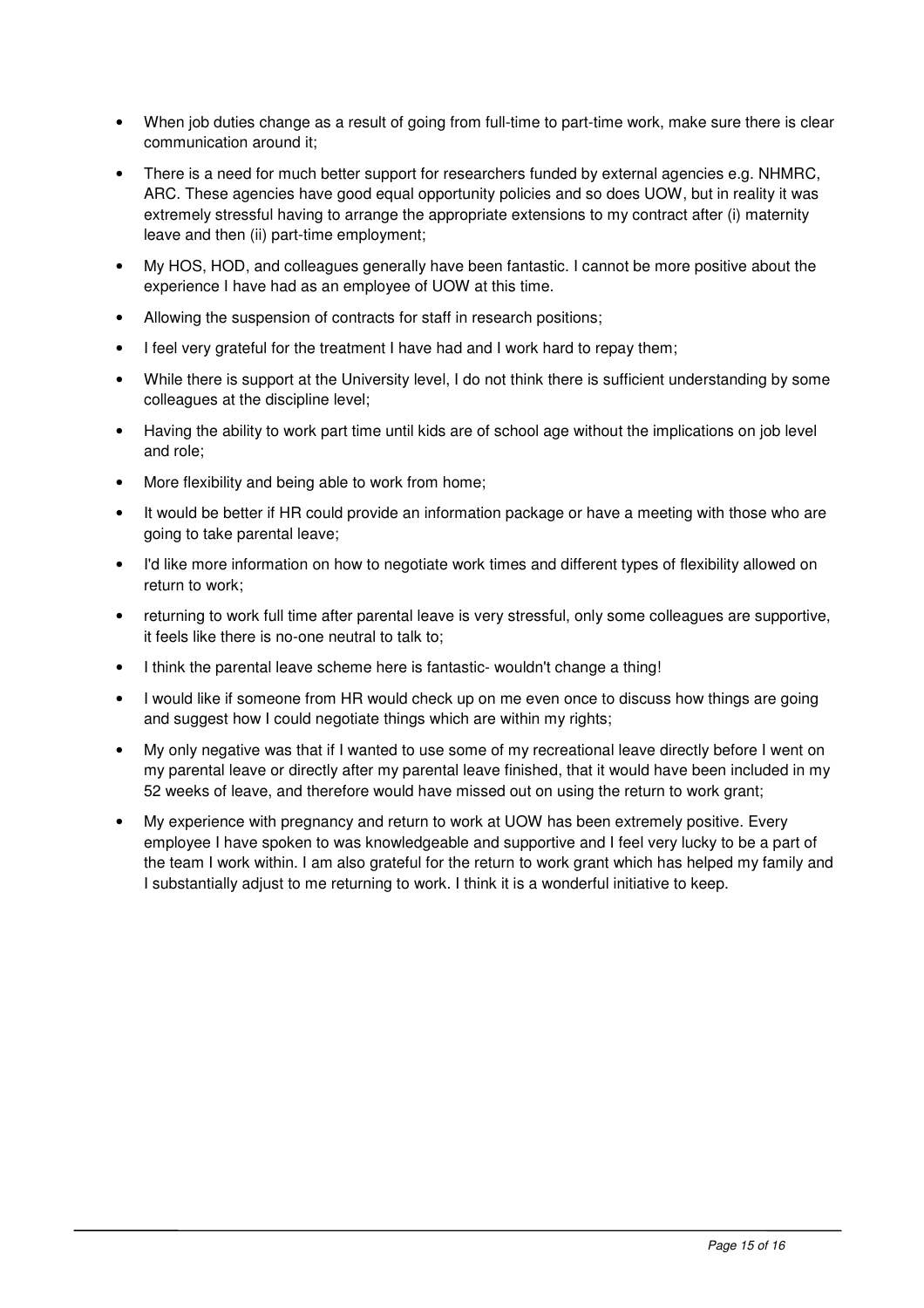- When job duties change as a result of going from full-time to part-time work, make sure there is clear communication around it;
- There is a need for much better support for researchers funded by external agencies e.g. NHMRC, ARC. These agencies have good equal opportunity policies and so does UOW, but in reality it was extremely stressful having to arrange the appropriate extensions to my contract after (i) maternity leave and then (ii) part-time employment;
- My HOS, HOD, and colleagues generally have been fantastic. I cannot be more positive about the experience I have had as an employee of UOW at this time.
- Allowing the suspension of contracts for staff in research positions;
- I feel very grateful for the treatment I have had and I work hard to repay them;
- While there is support at the University level, I do not think there is sufficient understanding by some colleagues at the discipline level;
- Having the ability to work part time until kids are of school age without the implications on job level and role;
- More flexibility and being able to work from home;
- It would be better if HR could provide an information package or have a meeting with those who are going to take parental leave;
- I'd like more information on how to negotiate work times and different types of flexibility allowed on return to work;
- returning to work full time after parental leave is very stressful, only some colleagues are supportive, it feels like there is no-one neutral to talk to;
- I think the parental leave scheme here is fantastic- wouldn't change a thing!
- I would like if someone from HR would check up on me even once to discuss how things are going and suggest how I could negotiate things which are within my rights;
- My only negative was that if I wanted to use some of my recreational leave directly before I went on my parental leave or directly after my parental leave finished, that it would have been included in my 52 weeks of leave, and therefore would have missed out on using the return to work grant;
- My experience with pregnancy and return to work at UOW has been extremely positive. Every employee I have spoken to was knowledgeable and supportive and I feel very lucky to be a part of the team I work within. I am also grateful for the return to work grant which has helped my family and I substantially adjust to me returning to work. I think it is a wonderful initiative to keep.